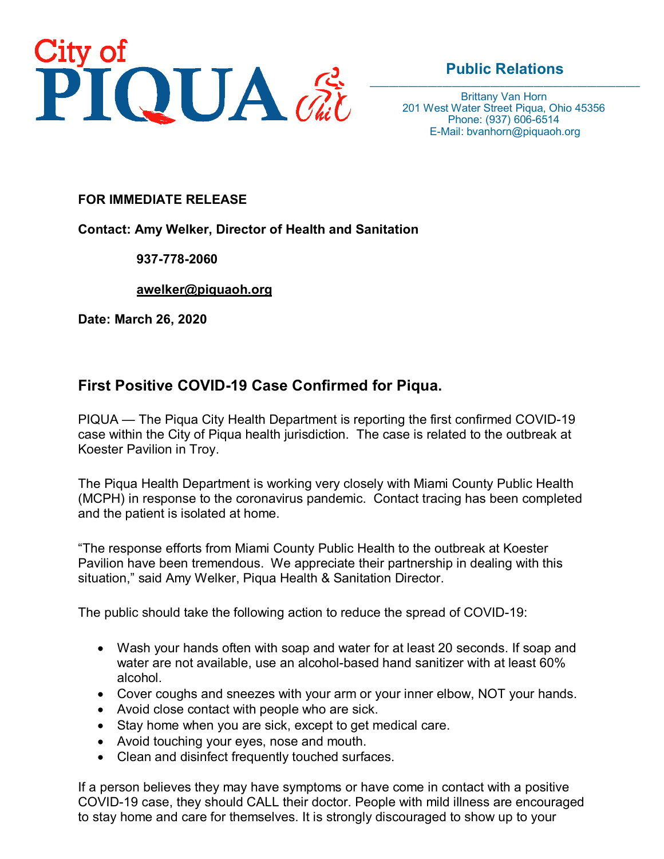

## **Public Relations**

Brittany Van Horn 201 West Water Street Piqua, Ohio 45356 Phone: (937) 606-6514 E-Mail: bvanhorn@piquaoh.org

## **FOR IMMEDIATE RELEASE**

**Contact: Amy Welker, Director of Health and Sanitation**

## **937-778-2060**

**[awelker@piquaoh.org](mailto:awelker@piquaoh.org)**

**Date: March 26, 2020**

## **First Positive COVID-19 Case Confirmed for Piqua.**

PIQUA — The Piqua City Health Department is reporting the first confirmed COVID-19 case within the City of Piqua health jurisdiction. The case is related to the outbreak at Koester Pavilion in Troy.

The Piqua Health Department is working very closely with Miami County Public Health (MCPH) in response to the coronavirus pandemic. Contact tracing has been completed and the patient is isolated at home.

"The response efforts from Miami County Public Health to the outbreak at Koester Pavilion have been tremendous. We appreciate their partnership in dealing with this situation," said Amy Welker, Piqua Health & Sanitation Director.

The public should take the following action to reduce the spread of COVID-19:

- Wash your hands often with soap and water for at least 20 seconds. If soap and water are not available, use an alcohol-based hand sanitizer with at least 60% alcohol.
- Cover coughs and sneezes with your arm or your inner elbow, NOT your hands.
- Avoid close contact with people who are sick.
- Stay home when you are sick, except to get medical care.
- Avoid touching your eyes, nose and mouth.
- Clean and disinfect frequently touched surfaces.

If a person believes they may have symptoms or have come in contact with a positive COVID-19 case, they should CALL their doctor. People with mild illness are encouraged to stay home and care for themselves. It is strongly discouraged to show up to your